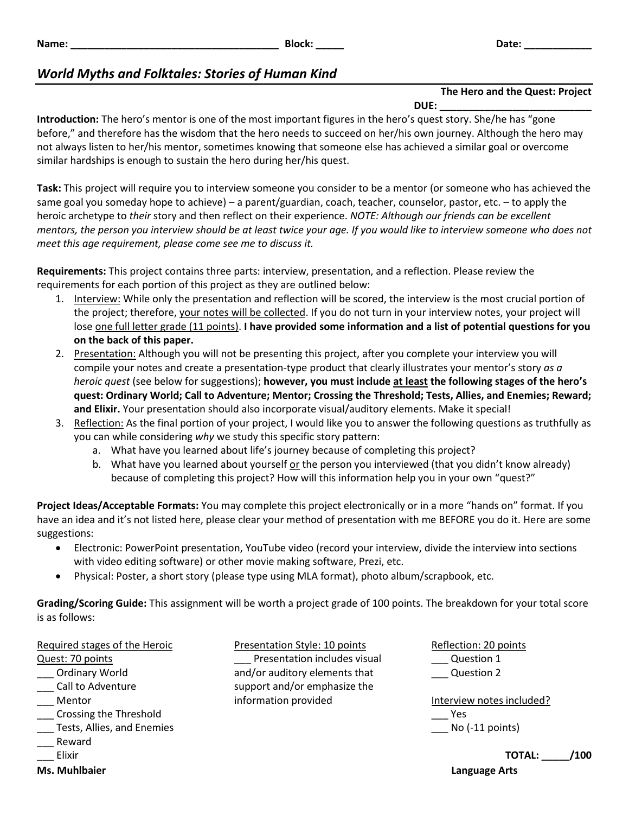# *World Myths and Folktales: Stories of Human Kind*

## **The Hero and the Quest: Project**

**DUE: \_\_\_\_\_\_\_\_\_\_\_\_\_\_\_\_\_\_\_\_\_\_\_\_\_\_\_**

**Introduction:** The hero's mentor is one of the most important figures in the hero's quest story. She/he has "gone before," and therefore has the wisdom that the hero needs to succeed on her/his own journey. Although the hero may not always listen to her/his mentor, sometimes knowing that someone else has achieved a similar goal or overcome similar hardships is enough to sustain the hero during her/his quest.

**Task:** This project will require you to interview someone you consider to be a mentor (or someone who has achieved the same goal you someday hope to achieve) – a parent/guardian, coach, teacher, counselor, pastor, etc. – to apply the heroic archetype to *their* story and then reflect on their experience. *NOTE: Although our friends can be excellent mentors, the person you interview should be at least twice your age. If you would like to interview someone who does not meet this age requirement, please come see me to discuss it.*

**Requirements:** This project contains three parts: interview, presentation, and a reflection. Please review the requirements for each portion of this project as they are outlined below:

- 1. Interview: While only the presentation and reflection will be scored, the interview is the most crucial portion of the project; therefore, your notes will be collected. If you do not turn in your interview notes, your project will lose one full letter grade (11 points). **I have provided some information and a list of potential questions for you on the back of this paper.**
- 2. Presentation: Although you will not be presenting this project, after you complete your interview you will compile your notes and create a presentation-type product that clearly illustrates your mentor's story *as a heroic quest* (see below for suggestions); **however, you must include at least the following stages of the hero's quest: Ordinary World; Call to Adventure; Mentor; Crossing the Threshold; Tests, Allies, and Enemies; Reward; and Elixir.** Your presentation should also incorporate visual/auditory elements. Make it special!
- 3. Reflection: As the final portion of your project, I would like you to answer the following questions as truthfully as you can while considering *why* we study this specific story pattern:
	- a. What have you learned about life's journey because of completing this project?
	- b. What have you learned about yourself or the person you interviewed (that you didn't know already) because of completing this project? How will this information help you in your own "quest?"

**Project Ideas/Acceptable Formats:** You may complete this project electronically or in a more "hands on" format. If you have an idea and it's not listed here, please clear your method of presentation with me BEFORE you do it. Here are some suggestions:

- Electronic: PowerPoint presentation, YouTube video (record your interview, divide the interview into sections with video editing software) or other movie making software, Prezi, etc.
- Physical: Poster, a short story (please type using MLA format), photo album/scrapbook, etc.

**Grading/Scoring Guide:** This assignment will be worth a project grade of 100 points. The breakdown for your total score is as follows:

Required stages of the Heroic Quest: 70 points \_\_\_ Ordinary World \_\_\_ Call to Adventure \_\_\_ Mentor \_\_\_ Crossing the Threshold \_\_\_ Tests, Allies, and Enemies \_\_\_ Reward

- 
- \_\_\_ Elixir

**Ms. Muhlbaier Language Arts**

Presentation Style: 10 points Presentation includes visual and/or auditory elements that support and/or emphasize the information provided

Reflection: 20 points Question 1 \_\_\_ Question 2

Interview notes included? \_\_\_ Yes  $\sum$  No (-11 points)

**TOTAL: \_\_\_\_\_/100**